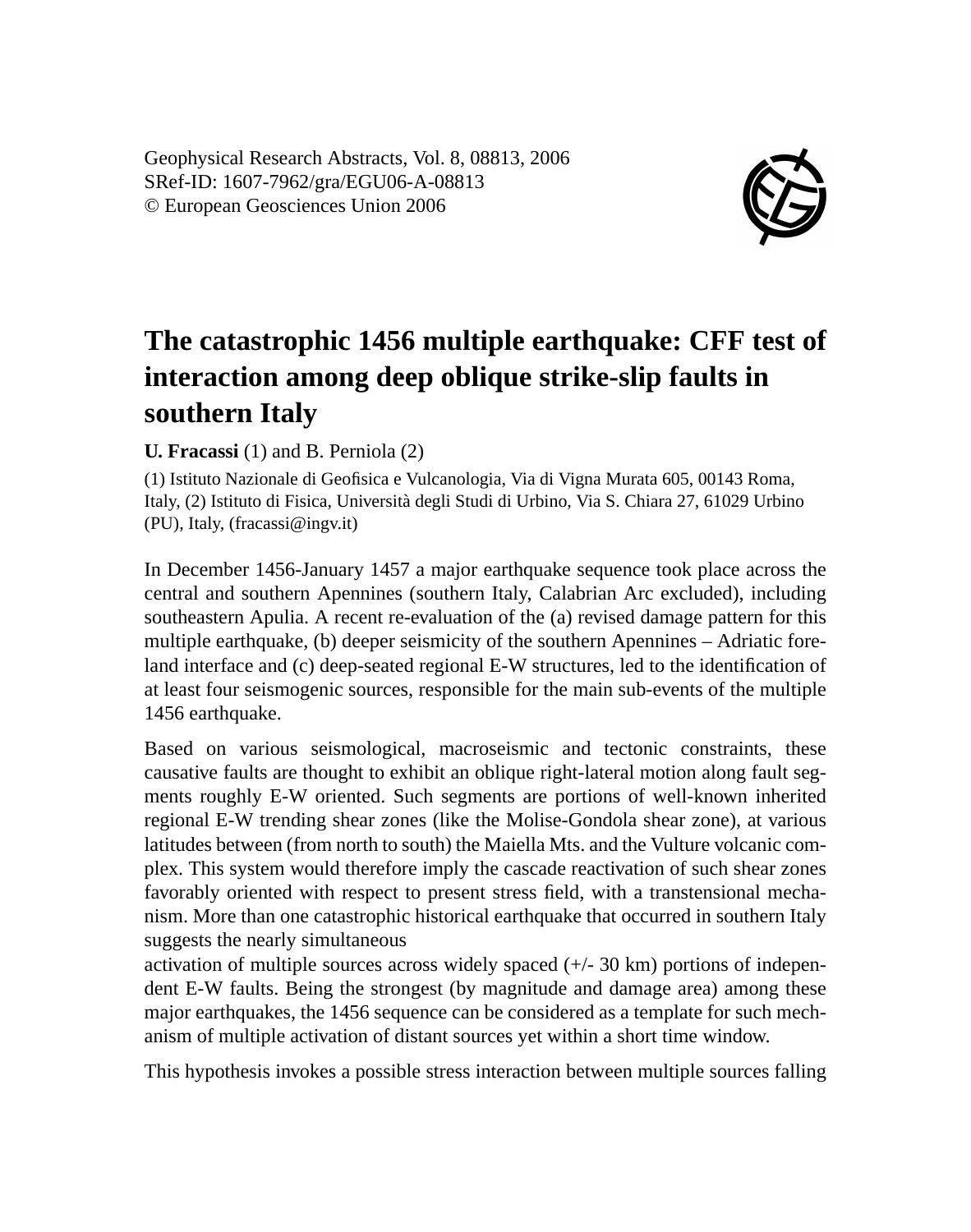Geophysical Research Abstracts, Vol. 8, 08813, 2006 SRef-ID: 1607-7962/gra/EGU06-A-08813 © European Geosciences Union 2006



## **The catastrophic 1456 multiple earthquake: CFF test of interaction among deep oblique strike-slip faults in southern Italy**

## **U. Fracassi** (1) and B. Perniola (2)

(1) Istituto Nazionale di Geofisica e Vulcanologia, Via di Vigna Murata 605, 00143 Roma, Italy, (2) Istituto di Fisica, Università degli Studi di Urbino, Via S. Chiara 27, 61029 Urbino (PU), Italy, (fracassi@ingv.it)

In December 1456-January 1457 a major earthquake sequence took place across the central and southern Apennines (southern Italy, Calabrian Arc excluded), including southeastern Apulia. A recent re-evaluation of the (a) revised damage pattern for this multiple earthquake, (b) deeper seismicity of the southern Apennines – Adriatic foreland interface and (c) deep-seated regional E-W structures, led to the identification of at least four seismogenic sources, responsible for the main sub-events of the multiple 1456 earthquake.

Based on various seismological, macroseismic and tectonic constraints, these causative faults are thought to exhibit an oblique right-lateral motion along fault segments roughly E-W oriented. Such segments are portions of well-known inherited regional E-W trending shear zones (like the Molise-Gondola shear zone), at various latitudes between (from north to south) the Maiella Mts. and the Vulture volcanic complex. This system would therefore imply the cascade reactivation of such shear zones favorably oriented with respect to present stress field, with a transtensional mechanism. More than one catastrophic historical earthquake that occurred in southern Italy suggests the nearly simultaneous

activation of multiple sources across widely spaced  $(+/- 30 \text{ km})$  portions of independent E-W faults. Being the strongest (by magnitude and damage area) among these major earthquakes, the 1456 sequence can be considered as a template for such mechanism of multiple activation of distant sources yet within a short time window.

This hypothesis invokes a possible stress interaction between multiple sources falling